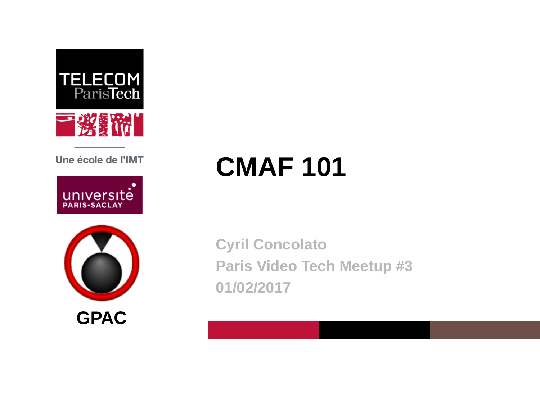

Une école de l'IMT





# **CMAF 101**

**Cyril Concolato Paris Video Tech Meetup #3 01/02/2017**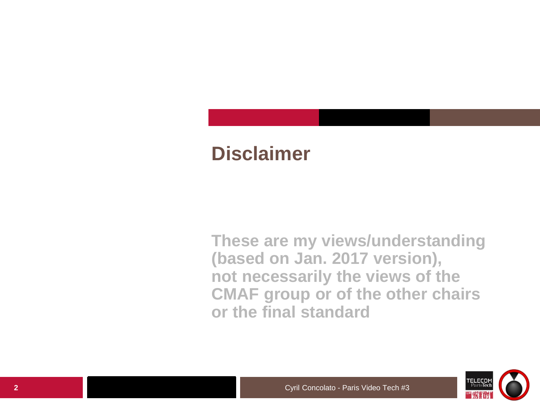# **Disclaimer**

**These are my views/understanding (based on Jan. 2017 version), not necessarily the views of the CMAF group or of the other chairs or the final standard**

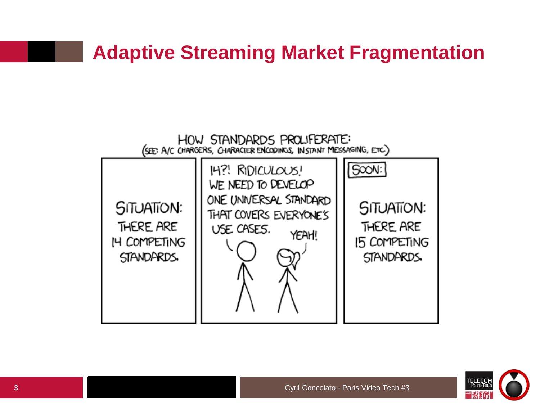# **Adaptive Streaming Market Fragmentation**



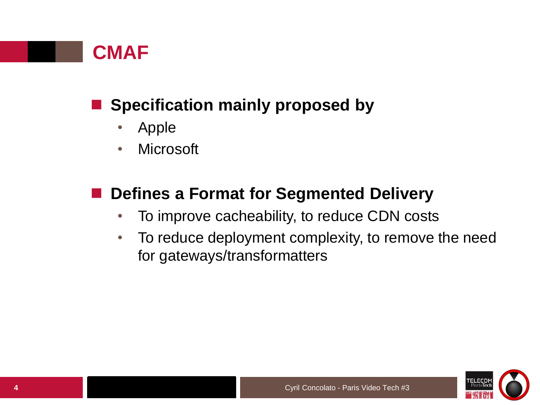

### **Specification mainly proposed by**

- Apple
- Microsoft

### **Defines a Format for Segmented Delivery**

- To improve cacheability, to reduce CDN costs
- To reduce deployment complexity, to remove the need for gateways/transformatters

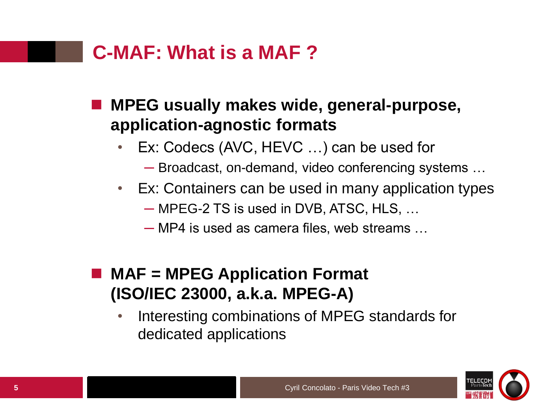# **C-MAF: What is a MAF ?**

#### **MPEG usually makes wide, general-purpose, application-agnostic formats**

- Ex: Codecs (AVC, HEVC ...) can be used for
	- ─ Broadcast, on-demand, video conferencing systems …
- Ex: Containers can be used in many application types
	- ─ MPEG-2 TS is used in DVB, ATSC, HLS, …
	- ─ MP4 is used as camera files, web streams …

#### **MAF = MPEG Application Format (ISO/IEC 23000, a.k.a. MPEG-A)**

• Interesting combinations of MPEG standards for dedicated applications

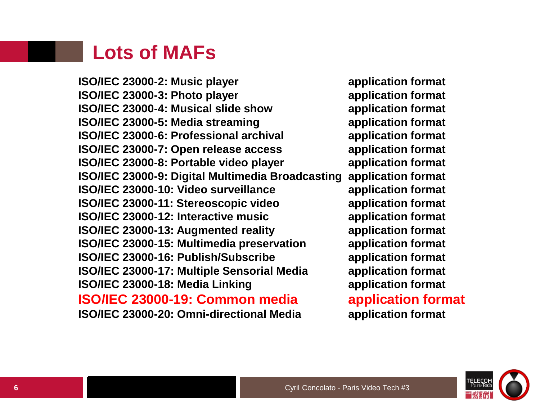#### **Lots of MAFs**

**ISO/IEC 23000-2: Music player and application format ISO/IEC 23000-3: Photo player application format ISO/IEC 23000-4: Musical slide show application format ISO/IEC 23000-5: Media streaming application format ISO/IEC 23000-6: Professional archival application format ISO/IEC 23000-7: Open release access application format ISO/IEC 23000-8: Portable video player application format ISO/IEC 23000-9: Digital Multimedia Broadcasting application format ISO/IEC 23000-10: Video surveillance application format ISO/IEC 23000-11: Stereoscopic video application format ISO/IEC 23000-12: Interactive music application format ISO/IEC 23000-13: Augmented reality application format ISO/IEC 23000-15: Multimedia preservation application format ISO/IEC 23000-16: Publish/Subscribe application format ISO/IEC 23000-17: Multiple Sensorial Media application format ISO/IEC 23000-18: Media Linking application format ISO/IEC 23000-19: Common media application format ISO/IEC 23000-20: Omni-directional Media application format**

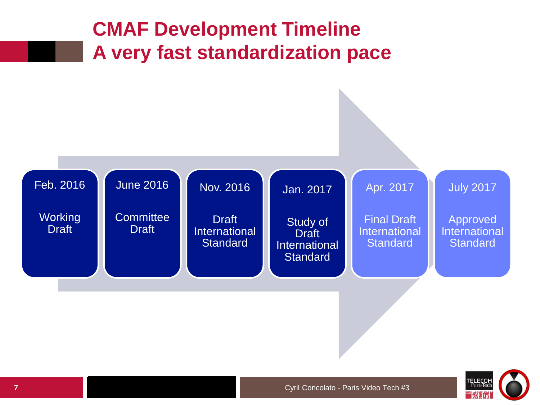

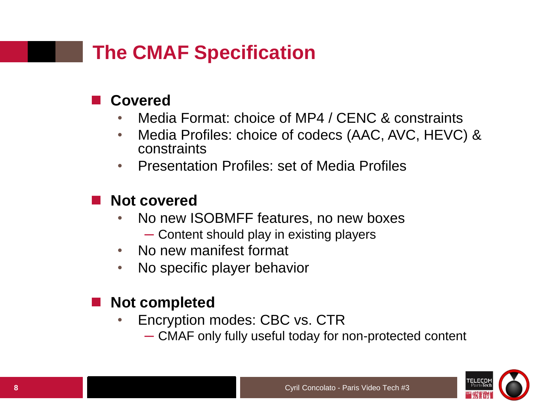# **The CMAF Specification**

#### **Covered**

- Media Format: choice of MP4 / CENC & constraints
- Media Profiles: choice of codecs (AAC, AVC, HEVC) & constraints
- Presentation Profiles: set of Media Profiles

#### **Not covered**

- No new ISOBMFF features, no new boxes
	- ─ Content should play in existing players
- No new manifest format
- No specific player behavior

#### **Not completed**

- Encryption modes: CBC vs. CTR
	- ─ CMAF only fully useful today for non-protected content

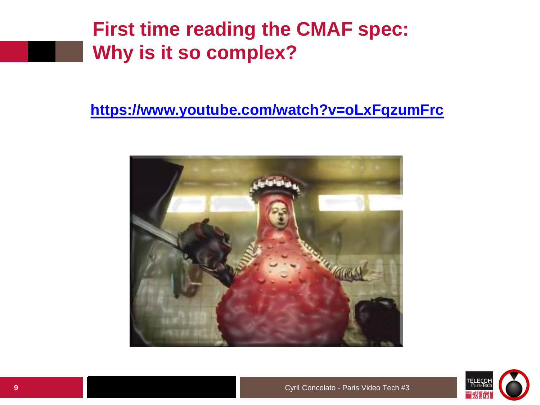# **First time reading the CMAF spec: Why is it so complex?**

#### **<https://www.youtube.com/watch?v=oLxFqzumFrc>**



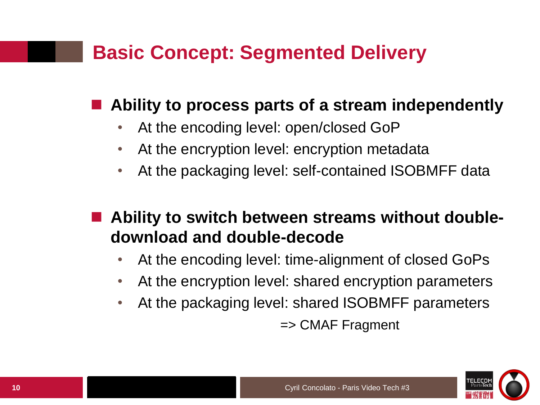# **Basic Concept: Segmented Delivery**

#### **Ability to process parts of a stream independently**

- At the encoding level: open/closed GoP
- At the encryption level: encryption metadata
- At the packaging level: self-contained ISOBMFF data

#### **Ability to switch between streams without doubledownload and double-decode**

- At the encoding level: time-alignment of closed GoPs
- At the encryption level: shared encryption parameters
- At the packaging level: shared ISOBMFF parameters => CMAF Fragment

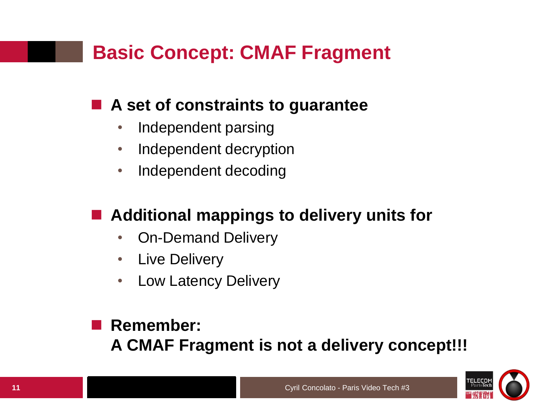# **Basic Concept: CMAF Fragment**

#### **A set of constraints to guarantee**

- Independent parsing
- Independent decryption
- Independent decoding

### **Additional mappings to delivery units for**

- On-Demand Delivery
- Live Delivery
- Low Latency Delivery

#### **Remember: A CMAF Fragment is not a delivery concept!!!**

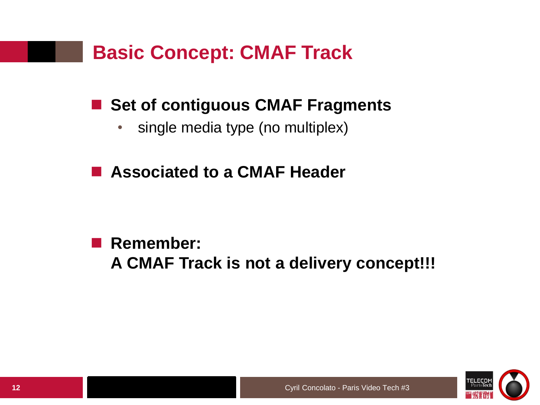# **Basic Concept: CMAF Track**

### ■ Set of contiguous CMAF Fragments

- single media type (no multiplex)
- **Associated to a CMAF Header**

 **Remember: A CMAF Track is not a delivery concept!!!**

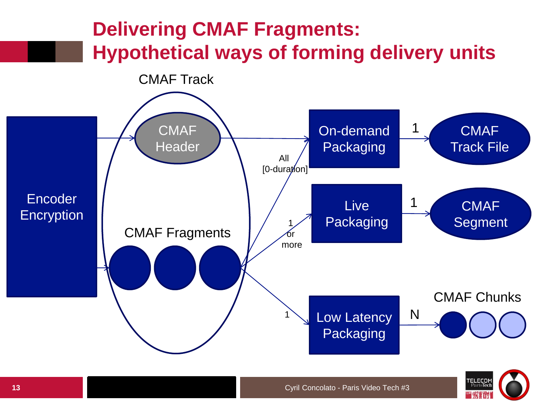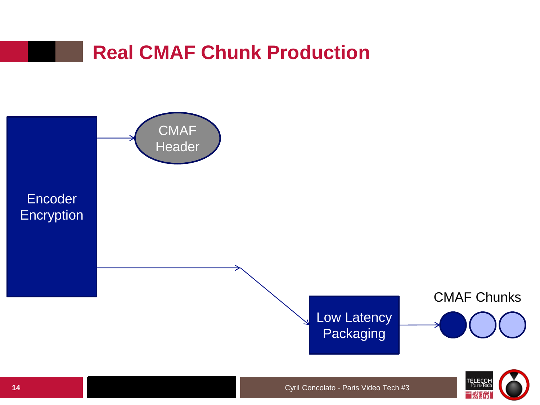

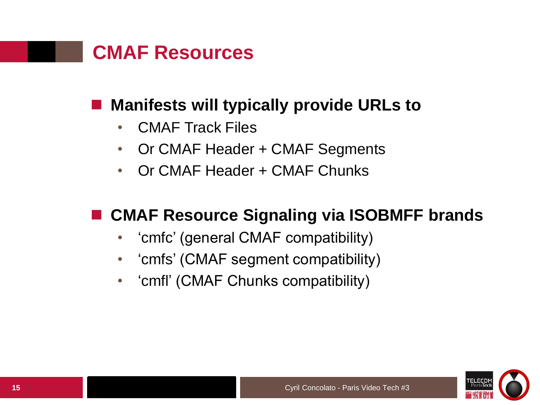![](_page_14_Picture_0.jpeg)

#### **Manifests will typically provide URLs to**

- CMAF Track Files
- Or CMAF Header + CMAF Segments
- Or CMAF Header + CMAF Chunks

#### **CMAF Resource Signaling via ISOBMFF brands**

- 'cmfc' (general CMAF compatibility)
- $\bullet$ 'cmfs' (CMAF segment compatibility)
- $\bullet$ 'cmfl' (CMAF Chunks compatibility)

![](_page_14_Picture_9.jpeg)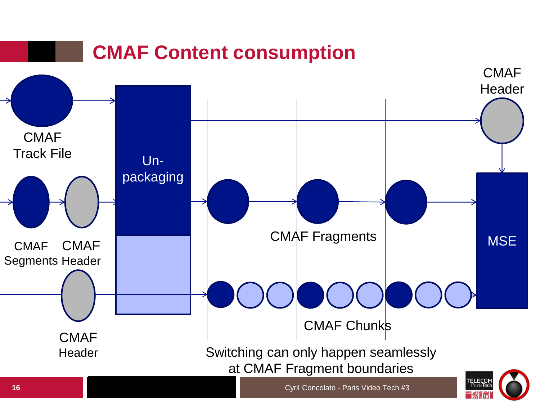![](_page_15_Figure_0.jpeg)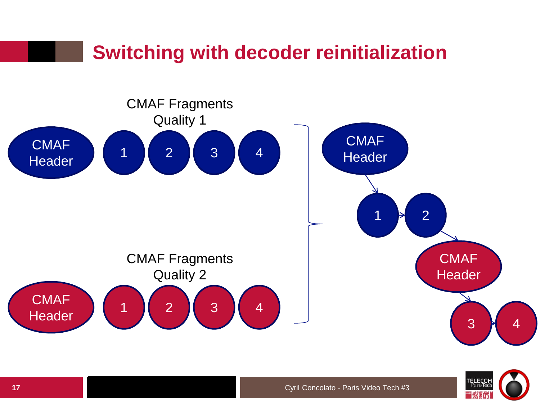![](_page_16_Figure_0.jpeg)

![](_page_16_Picture_1.jpeg)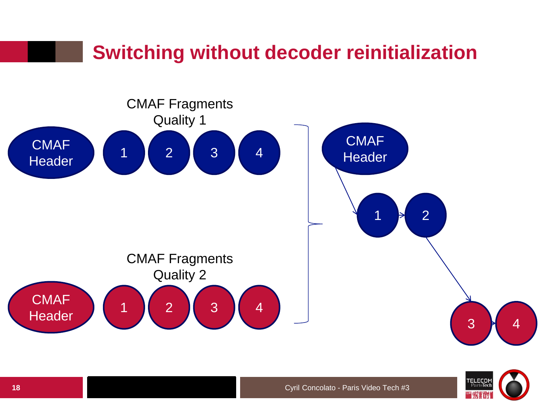![](_page_17_Figure_0.jpeg)

![](_page_17_Picture_1.jpeg)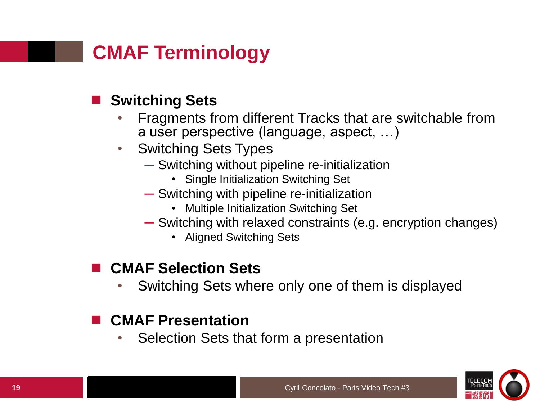# **CMAF Terminology**

#### **Switching Sets**

- Fragments from different Tracks that are switchable from a user perspective (language, aspect, …)
- Switching Sets Types
	- ─ Switching without pipeline re-initialization
		- Single Initialization Switching Set
	- ─ Switching with pipeline re-initialization
		- Multiple Initialization Switching Set
	- ─ Switching with relaxed constraints (e.g. encryption changes)
		- Aligned Switching Sets

#### **CMAF Selection Sets**

• Switching Sets where only one of them is displayed

#### **CMAF Presentation**

• Selection Sets that form a presentation

![](_page_18_Picture_14.jpeg)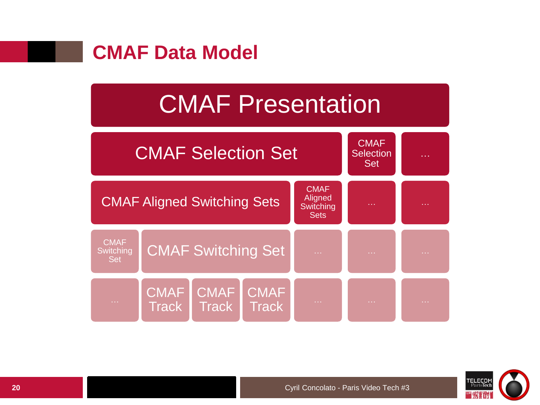![](_page_19_Picture_0.jpeg)

# CMAF Presentation

![](_page_19_Figure_2.jpeg)

![](_page_19_Picture_3.jpeg)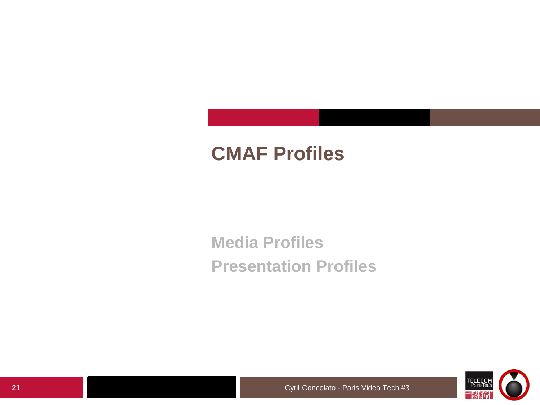# **CMAF Profiles**

**Media Profiles Presentation Profiles**

![](_page_20_Picture_2.jpeg)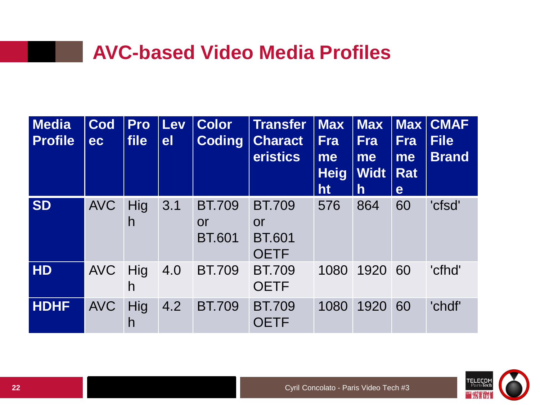# **AVC-based Video Media Profiles**

| <b>Media</b><br><b>Profile</b> | Cod<br>ec  | Pro<br>file | Lev<br>e <sub>l</sub> | <b>Color</b><br><b>Coding</b>        | <b>Transfer</b><br><b>Charact</b><br>eristics              | $\vert$ Max<br><b>Fra</b><br>me<br><b>Heig</b><br>ht | <b>Max</b><br><b>Fra</b><br>me<br><b>Widt</b><br>$\mathsf{h}$ | <b>Fra</b><br>me<br><b>Rat</b><br>e | <b>Max CMAF</b><br><b>File</b><br><b>Brand</b> |
|--------------------------------|------------|-------------|-----------------------|--------------------------------------|------------------------------------------------------------|------------------------------------------------------|---------------------------------------------------------------|-------------------------------------|------------------------------------------------|
| <b>SD</b>                      | <b>AVC</b> | Hig<br>h    | 3.1                   | <b>BT.709</b><br>or<br><b>BT.601</b> | <b>BT.709</b><br><b>or</b><br><b>BT.601</b><br><b>OETF</b> | 576                                                  | 864                                                           | 60                                  | 'cfsd'                                         |
| HD                             | <b>AVC</b> | Hig<br>h    | 4.0                   | <b>BT.709</b>                        | <b>BT.709</b><br><b>OETF</b>                               | 1080                                                 | 1920                                                          | 60                                  | 'cfhd'                                         |
| <b>HDHF</b>                    | <b>AVC</b> | Hig<br>h    | 4.2                   | <b>BT.709</b>                        | <b>BT.709</b><br><b>OETF</b>                               | 1080                                                 | 1920                                                          | 60                                  | 'chdf'                                         |

![](_page_21_Picture_2.jpeg)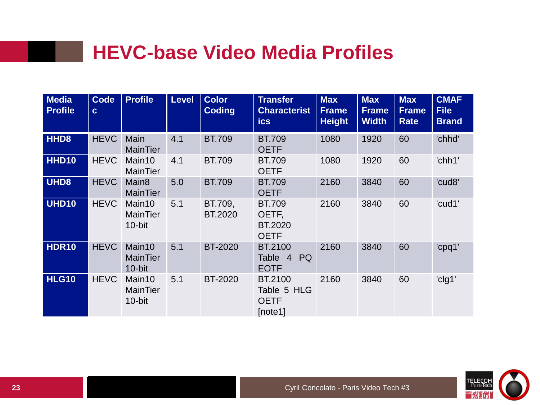# **HEVC-base Video Media Profiles**

| <b>Media</b><br><b>Profile</b> | <b>Code</b><br>$\mathbf{c}$ | <b>Profile</b>                         | <b>Level</b> | <b>Color</b><br><b>Coding</b> | <b>Transfer</b><br><b>Characterist</b><br><b>ics</b>    | <b>Max</b><br><b>Frame</b><br><b>Height</b> | <b>Max</b><br><b>Frame</b><br><b>Width</b> | <b>Max</b><br><b>Frame</b><br><b>Rate</b> | <b>CMAF</b><br><b>File</b><br><b>Brand</b> |
|--------------------------------|-----------------------------|----------------------------------------|--------------|-------------------------------|---------------------------------------------------------|---------------------------------------------|--------------------------------------------|-------------------------------------------|--------------------------------------------|
| HHD <sub>8</sub>               | <b>HEVC</b>                 | Main<br><b>MainTier</b>                | 4.1          | <b>BT.709</b>                 | <b>BT.709</b><br><b>OETF</b>                            | 1080                                        | 1920                                       | 60                                        | 'chhd'                                     |
| <b>HHD10</b>                   | <b>HEVC</b>                 | Main10<br><b>MainTier</b>              | 4.1          | <b>BT.709</b>                 | <b>BT.709</b><br><b>OETF</b>                            | 1080                                        | 1920                                       | 60                                        | 'chh1'                                     |
| UHD8                           | <b>HEVC</b>                 | Main <sub>8</sub><br><b>MainTier</b>   | 5.0          | <b>BT.709</b>                 | <b>BT.709</b><br><b>OETF</b>                            | 2160                                        | 3840                                       | 60                                        | 'cud8'                                     |
| <b>UHD10</b>                   | <b>HEVC</b>                 | Main10<br><b>MainTier</b><br>10-bit    | 5.1          | BT.709,<br>BT.2020            | <b>BT.709</b><br>OETF,<br><b>BT.2020</b><br><b>OETF</b> | 2160                                        | 3840                                       | 60                                        | 'cud1'                                     |
| <b>HDR10</b>                   | <b>HEVC</b>                 | Main10<br><b>MainTier</b><br>$10-b$ it | 5.1          | <b>BT-2020</b>                | BT.2100<br><b>PQ</b><br>Table 4<br><b>EOTF</b>          | 2160                                        | 3840                                       | 60                                        | 'cpq1'                                     |
| <b>HLG10</b>                   | <b>HEVC</b>                 | Main10<br><b>MainTier</b><br>10-bit    | 5.1          | <b>BT-2020</b>                | BT.2100<br>Table 5 HLG<br><b>OETF</b><br>[note1]        | 2160                                        | 3840                                       | 60                                        | 'clg1'                                     |

![](_page_22_Picture_2.jpeg)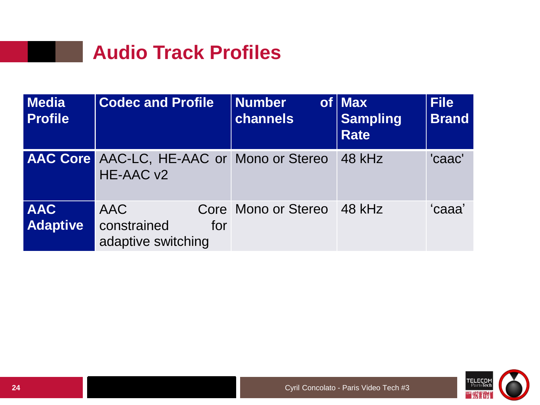# **Audio Track Profiles**

| <b>Media</b><br><b>Profile</b> | <b>Codec and Profile</b>                                      | <b>Number</b><br>channels | $of$ Max<br><b>Sampling</b><br><b>Rate</b> | <b>File</b><br><b>Brand</b> |
|--------------------------------|---------------------------------------------------------------|---------------------------|--------------------------------------------|-----------------------------|
|                                | <b>AAC Core AAC-LC, HE-AAC or Mono or Stereo</b><br>HE-AAC v2 |                           | 48 kHz                                     | 'caac'                      |
| <b>AAC</b><br><b>Adaptive</b>  | <b>AAC</b><br>constrained<br>for<br>adaptive switching        | Core Mono or Stereo       | $-48$ kHz                                  | 'caaa'                      |

![](_page_23_Picture_2.jpeg)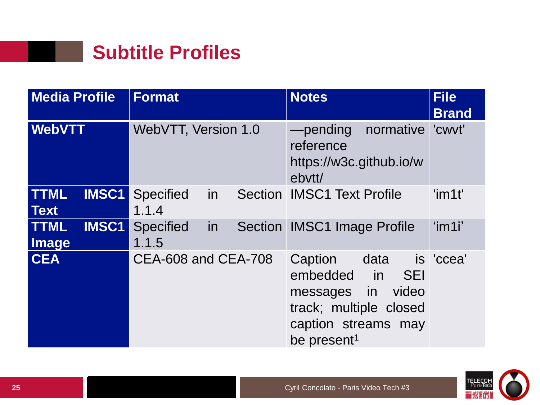![](_page_24_Picture_0.jpeg)

| <b>Media Profile</b>                       | <b>Format</b>                   | <b>Notes</b>                                                                                                                                     | <b>File</b><br><b>Brand</b> |
|--------------------------------------------|---------------------------------|--------------------------------------------------------------------------------------------------------------------------------------------------|-----------------------------|
| <b>WebVTT</b>                              | WebVTT, Version 1.0             | -pending normative<br>reference<br>https://w3c.github.io/w<br>ebytt/                                                                             | 'cwvt'                      |
| <b>TTML</b><br><b>IMSC1</b><br><b>Text</b> | in<br><b>Specified</b><br>1.1.4 | <b>Section IMSC1 Text Profile</b>                                                                                                                | $'$ im1t'                   |
| <b>TTML</b><br><b>IMSC1</b><br>Image       | Specified<br>in<br>1.1.5        | <b>Section IMSC1 Image Profile</b>                                                                                                               | 'im1i'                      |
| <b>CEA</b>                                 | CEA-608 and CEA-708             | Caption<br>data<br>embedded in<br><b>SEI</b><br>video<br>messages in<br>track; multiple closed<br>caption streams may<br>be present <sup>1</sup> | is 'ccea'                   |

![](_page_24_Picture_2.jpeg)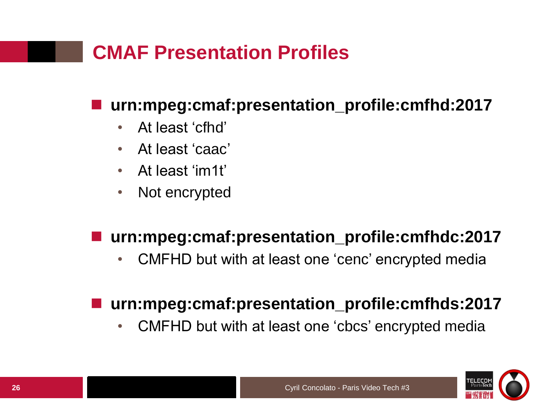# **CMAF Presentation Profiles**

#### **urn:mpeg:cmaf:presentation\_profile:cmfhd:2017**

- At least 'cfhd'
- At least 'caac'
- At least 'im1t'
- Not encrypted

#### **urn:mpeg:cmaf:presentation\_profile:cmfhdc:2017**

• CMFHD but with at least one 'cenc' encrypted media

#### **urn:mpeg:cmaf:presentation\_profile:cmfhds:2017**

• CMFHD but with at least one 'cbcs' encrypted media

![](_page_25_Picture_10.jpeg)